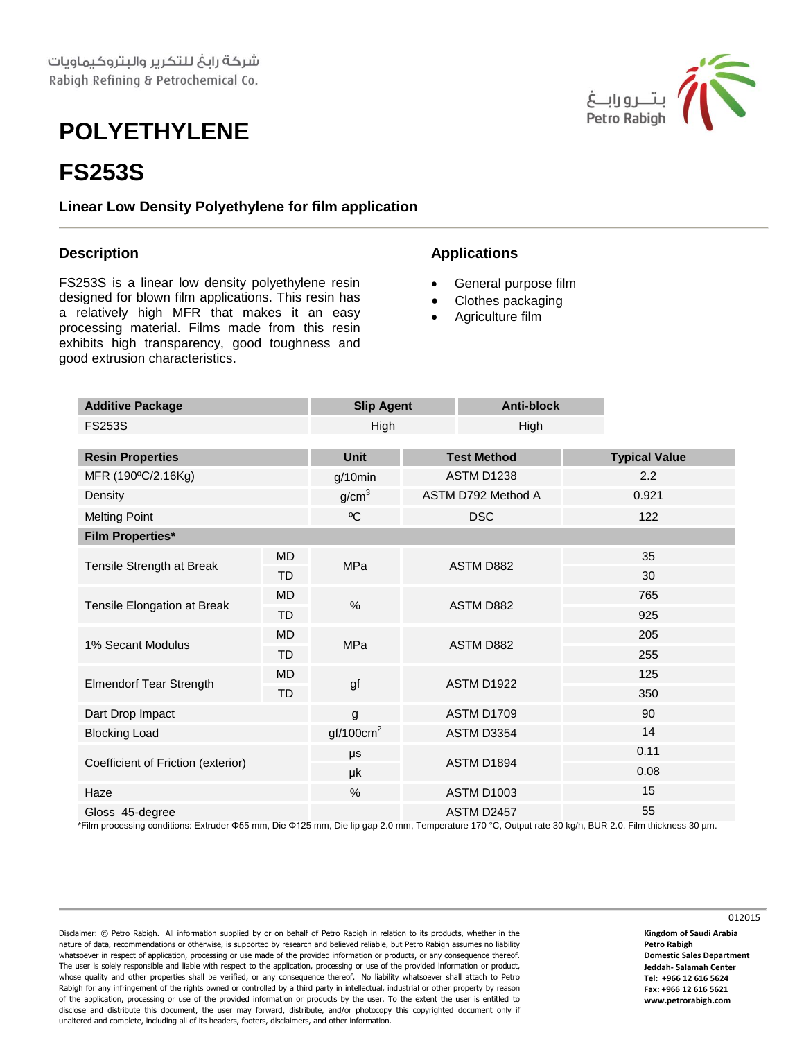## **POLYETHYLENE**

## **FS253S**

**Linear Low Density Polyethylene for film application**

## **Description**

FS253S is a linear low density polyethylene resin designed for blown film applications. This resin has a relatively high MFR that makes it an easy processing material. Films made from this resin exhibits high transparency, good toughness and good extrusion characteristics.

## **Applications**

- General purpose film
- Clothes packaging
- Agriculture film

| <b>Additive Package</b>            |           | <b>Slip Agent</b>     |                    | <b>Anti-block</b> |     |                      |  |
|------------------------------------|-----------|-----------------------|--------------------|-------------------|-----|----------------------|--|
| <b>FS253S</b>                      |           | High                  |                    | High              |     |                      |  |
|                                    |           |                       |                    |                   |     |                      |  |
| <b>Resin Properties</b>            |           | <b>Unit</b>           | <b>Test Method</b> |                   |     | <b>Typical Value</b> |  |
| MFR (190°C/2.16Kg)                 |           | $g/10$ min            | <b>ASTM D1238</b>  |                   |     | 2.2                  |  |
| Density                            |           | g/cm <sup>3</sup>     | ASTM D792 Method A |                   |     | 0.921                |  |
| <b>Melting Point</b>               |           | $\rm ^{o}C$           | <b>DSC</b>         |                   |     | 122                  |  |
| <b>Film Properties*</b>            |           |                       |                    |                   |     |                      |  |
| Tensile Strength at Break          | <b>MD</b> | <b>MPa</b>            | <b>ASTM D882</b>   |                   | 35  |                      |  |
|                                    | <b>TD</b> |                       |                    |                   |     | 30                   |  |
| Tensile Elongation at Break        | <b>MD</b> | %                     | ASTM D882          |                   | 765 |                      |  |
|                                    | <b>TD</b> |                       |                    |                   | 925 |                      |  |
| 1% Secant Modulus                  | <b>MD</b> | <b>MPa</b>            | ASTM D882          |                   | 205 |                      |  |
|                                    | <b>TD</b> |                       |                    |                   |     | 255                  |  |
| <b>Elmendorf Tear Strength</b>     | <b>MD</b> | gf                    | <b>ASTM D1922</b>  |                   |     | 125                  |  |
|                                    | TD        |                       |                    |                   |     | 350                  |  |
| Dart Drop Impact                   |           | g                     | <b>ASTM D1709</b>  |                   |     | 90                   |  |
| <b>Blocking Load</b>               |           | gf/100cm <sup>2</sup> | ASTM D3354         |                   |     | 14                   |  |
| Coefficient of Friction (exterior) |           | μs                    | ASTM D1894         |                   |     | 0.11                 |  |
|                                    |           | μk                    |                    |                   |     | 0.08                 |  |
| Haze                               |           | $\%$                  |                    | <b>ASTM D1003</b> |     | 15                   |  |
| Gloss 45-degree                    |           |                       |                    | ASTM D2457        |     | 55                   |  |

\*Film processing conditions: Extruder Φ55 mm, Die Φ125 mm, Die lip gap 2.0 mm, Temperature 170 °C, Output rate 30 kg/h, BUR 2.0, Film thickness 30 µm.

Disclaimer: © Petro Rabigh. All information supplied by or on behalf of Petro Rabigh in relation to its products, whether in the nature of data, recommendations or otherwise, is supported by research and believed reliable, but Petro Rabigh assumes no liability whatsoever in respect of application, processing or use made of the provided information or products, or any consequence thereof. The user is solely responsible and liable with respect to the application, processing or use of the provided information or product, whose quality and other properties shall be verified, or any consequence thereof. No liability whatsoever shall attach to Petro Rabigh for any infringement of the rights owned or controlled by a third party in intellectual, industrial or other property by reason of the application, processing or use of the provided information or products by the user. To the extent the user is entitled to disclose and distribute this document, the user may forward, distribute, and/or photocopy this copyrighted document only if unaltered and complete, including all of its headers, footers, disclaimers, and other information.



**Kingdom of Saudi Arabia Petro Rabigh Domestic Sales Department Jeddah- Salamah Center Tel: +966 12 616 5624 Fax: +966 12 616 5621 www.petrorabigh.com**